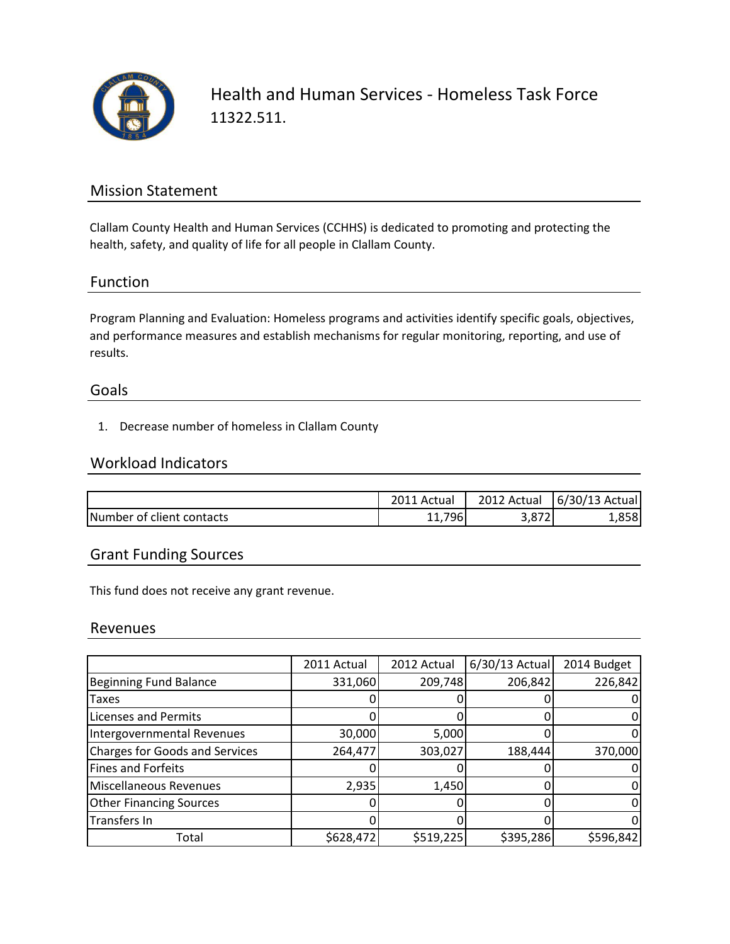

Health and Human Services - Homeless Task Force 11322.511.

## Mission Statement

Clallam County Health and Human Services (CCHHS) is dedicated to promoting and protecting the health, safety, and quality of life for all people in Clallam County.

### Function

Program Planning and Evaluation: Homeless programs and activities identify specific goals, objectives, and performance measures and establish mechanisms for regular monitoring, reporting, and use of results.

#### Goals

1. Decrease number of homeless in Clallam County

### Workload Indicators

|                           | Actual | 2012 Actual | 6/30/13 Actual |
|---------------------------|--------|-------------|----------------|
| Number of client contacts | 11,796 | 5,07Z       | 1,858          |

## Grant Funding Sources

This fund does not receive any grant revenue.

#### Revenues

|                                       | 2011 Actual | 2012 Actual | $6/30/13$ Actual | 2014 Budget |
|---------------------------------------|-------------|-------------|------------------|-------------|
| <b>Beginning Fund Balance</b>         | 331,060     | 209,748     | 206,842          | 226,842     |
| Taxes                                 |             |             |                  |             |
| <b>Licenses and Permits</b>           |             |             |                  |             |
| Intergovernmental Revenues            | 30,000      | 5,000       |                  |             |
| <b>Charges for Goods and Services</b> | 264,477     | 303,027     | 188,444          | 370,000     |
| <b>Fines and Forfeits</b>             |             |             |                  |             |
| Miscellaneous Revenues                | 2,935       | 1,450       |                  |             |
| <b>Other Financing Sources</b>        |             |             |                  |             |
| Transfers In                          |             |             |                  |             |
| Total                                 | \$628,472   | \$519,225   | \$395,286        | \$596,842   |